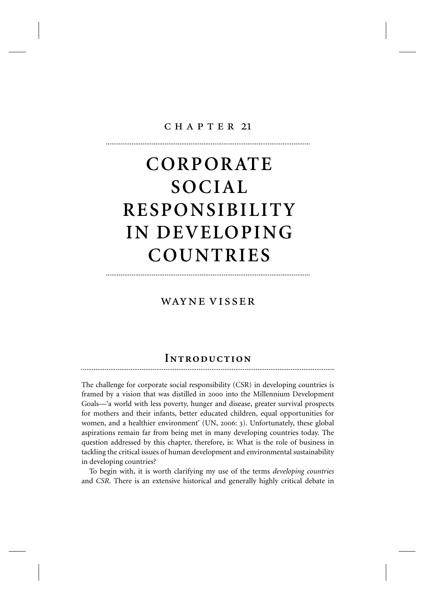#### $CH$  A P T E R 21

...............................................................................................................

# **CORPORATE SOCIAL RESPONSIBILITY IN DEVELOPING COUNTRIES**

## wayne visser

...............................................................................................................

## **INTRODUCTION**

The challenge for corporate social responsibility (CSR) in developing countries is framed by a vision that was distilled in 2000 into the Millennium Development Goals—'a world with less poverty, hunger and disease, greater survival prospects for mothers and their infants, better educated children, equal opportunities for women, and a healthier environment' (UN, 2006: 3). Unfortunately, these global aspirations remain far from being met in many developing countries today. The question addressed by this chapter, therefore, is: What is the role of business in tackling the critical issues of human development and environmental sustainability in developing countries?

To begin with, it is worth clarifying my use of the terms *developing countries* and *CSR*. There is an extensive historical and generally highly critical debate in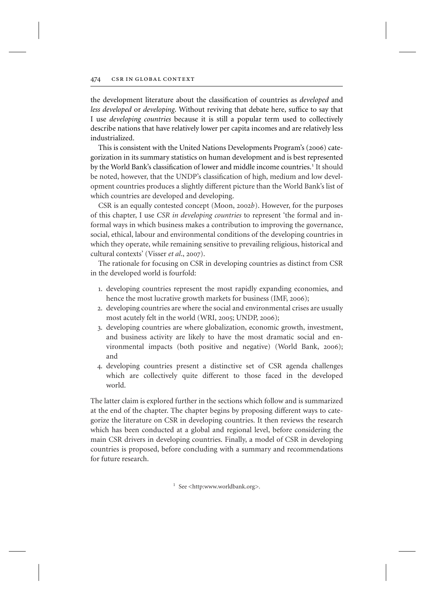the development literature about the classification of countries as *developed* and *less developed* or *developing*. Without reviving that debate here, suffice to say that I use *developing countries* because it is still a popular term used to collectively describe nations that have relatively lower per capita incomes and are relatively less industrialized.

This is consistent with the United Nations Developments Program's (2006) categorization in its summary statistics on human development and is best represented by the World Bank's classification of lower and middle income countries.<sup>1</sup> It should be noted, however, that the UNDP's classification of high, medium and low development countries produces a slightly different picture than the World Bank's list of which countries are developed and developing.

CSR is an equally contested concept (Moon, 2002*b*). However, for the purposes of this chapter, I use *CSR in developing countries* to represent 'the formal and informal ways in which business makes a contribution to improving the governance, social, ethical, labour and environmental conditions of the developing countries in which they operate, while remaining sensitive to prevailing religious, historical and cultural contexts' (Visser *et al*., 2007).

The rationale for focusing on CSR in developing countries as distinct from CSR in the developed world is fourfold:

- 1. developing countries represent the most rapidly expanding economies, and hence the most lucrative growth markets for business (IMF, 2006);
- 2. developing countries are where the social and environmental crises are usually most acutely felt in the world (WRI, 2005; UNDP, 2006);
- 3. developing countries are where globalization, economic growth, investment, and business activity are likely to have the most dramatic social and environmental impacts (both positive and negative) (World Bank, 2006); and
- 4. developing countries present a distinctive set of CSR agenda challenges which are collectively quite different to those faced in the developed world.

The latter claim is explored further in the sections which follow and is summarized at the end of the chapter. The chapter begins by proposing different ways to categorize the literature on CSR in developing countries. It then reviews the research which has been conducted at a global and regional level, before considering the main CSR drivers in developing countries. Finally, a model of CSR in developing countries is proposed, before concluding with a summary and recommendations for future research.

 $1$  See <http:www.worldbank.org>.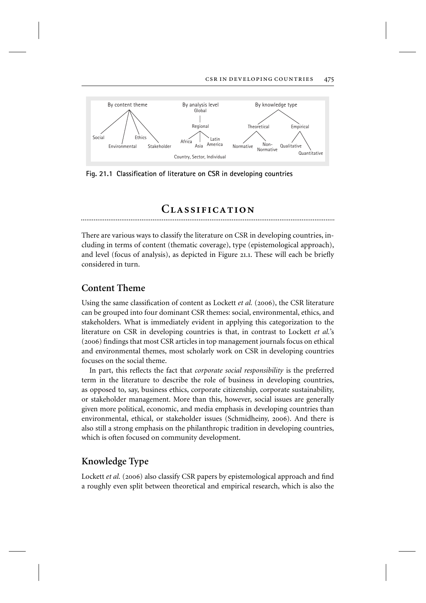

**Fig. 21.1 Classification of literature on CSR in developing countries**

## $CLASSIFICATION$

There are various ways to classify the literature on CSR in developing countries, including in terms of content (thematic coverage), type (epistemological approach), and level (focus of analysis), as depicted in Figure 21.1. These will each be briefly considered in turn.

## **Content Theme**

Using the same classification of content as Lockett *et al.* (2006), the CSR literature can be grouped into four dominant CSR themes: social, environmental, ethics, and stakeholders. What is immediately evident in applying this categorization to the literature on CSR in developing countries is that, in contrast to Lockett *et al.*'s (2006) findings that most CSR articles in top management journals focus on ethical and environmental themes, most scholarly work on CSR in developing countries focuses on the social theme.

In part, this reflects the fact that *corporate social responsibility* is the preferred term in the literature to describe the role of business in developing countries, as opposed to, say, business ethics, corporate citizenship, corporate sustainability, or stakeholder management. More than this, however, social issues are generally given more political, economic, and media emphasis in developing countries than environmental, ethical, or stakeholder issues (Schmidheiny, 2006). And there is also still a strong emphasis on the philanthropic tradition in developing countries, which is often focused on community development.

## **Knowledge Type**

Lockett *et al.* (2006) also classify CSR papers by epistemological approach and find a roughly even split between theoretical and empirical research, which is also the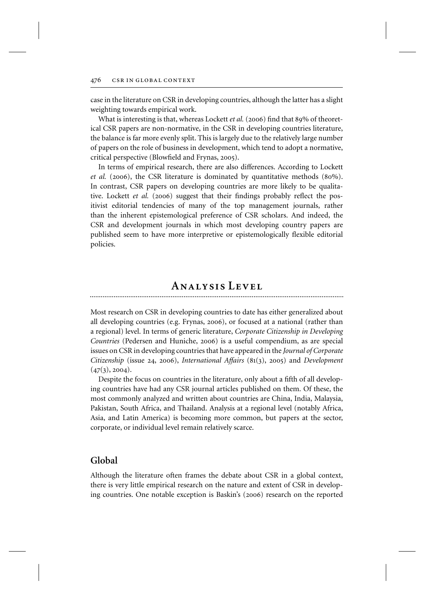case in the literature on CSR in developing countries, although the latter has a slight weighting towards empirical work.

What is interesting is that, whereas Lockett *et al.* (2006) find that 89% of theoretical CSR papers are non-normative, in the CSR in developing countries literature, the balance is far more evenly split. This is largely due to the relatively large number of papers on the role of business in development, which tend to adopt a normative, critical perspective (Blowfield and Frynas, 2005).

In terms of empirical research, there are also differences. According to Lockett *et al.* (2006), the CSR literature is dominated by quantitative methods (80%). In contrast, CSR papers on developing countries are more likely to be qualitative. Lockett *et al.* (2006) suggest that their findings probably reflect the positivist editorial tendencies of many of the top management journals, rather than the inherent epistemological preference of CSR scholars. And indeed, the CSR and development journals in which most developing country papers are published seem to have more interpretive or epistemologically flexible editorial policies.

## **ANALYSIS LEVEL**

Most research on CSR in developing countries to date has either generalized about all developing countries (e.g. Frynas, 2006), or focused at a national (rather than a regional) level. In terms of generic literature, *Corporate Citizenship in Developing Countries* (Pedersen and Huniche, 2006) is a useful compendium, as are special issues on CSR in developing countries that have appeared in the *Journal of Corporate Citizenship* (issue 24, 2006), *International Affairs* (81(3), 2005) and *Development*  $(47(3), 2004).$ 

Despite the focus on countries in the literature, only about a fifth of all developing countries have had any CSR journal articles published on them. Of these, the most commonly analyzed and written about countries are China, India, Malaysia, Pakistan, South Africa, and Thailand. Analysis at a regional level (notably Africa, Asia, and Latin America) is becoming more common, but papers at the sector, corporate, or individual level remain relatively scarce.

#### **Global**

Although the literature often frames the debate about CSR in a global context, there is very little empirical research on the nature and extent of CSR in developing countries. One notable exception is Baskin's (2006) research on the reported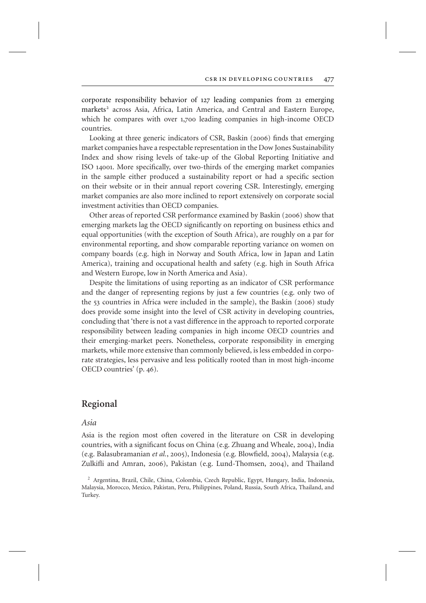corporate responsibility behavior of 127 leading companies from 21 emerging markets<sup>2</sup> across Asia, Africa, Latin America, and Central and Eastern Europe, which he compares with over 1,700 leading companies in high-income OECD countries.

Looking at three generic indicators of CSR, Baskin (2006) finds that emerging market companies have a respectable representation in the Dow Jones Sustainability Index and show rising levels of take-up of the Global Reporting Initiative and ISO 14001. More specifically, over two-thirds of the emerging market companies in the sample either produced a sustainability report or had a specific section on their website or in their annual report covering CSR. Interestingly, emerging market companies are also more inclined to report extensively on corporate social investment activities than OECD companies.

Other areas of reported CSR performance examined by Baskin (2006) show that emerging markets lag the OECD significantly on reporting on business ethics and equal opportunities (with the exception of South Africa), are roughly on a par for environmental reporting, and show comparable reporting variance on women on company boards (e.g. high in Norway and South Africa, low in Japan and Latin America), training and occupational health and safety (e.g. high in South Africa and Western Europe, low in North America and Asia).

Despite the limitations of using reporting as an indicator of CSR performance and the danger of representing regions by just a few countries (e.g. only two of the 53 countries in Africa were included in the sample), the Baskin (2006) study does provide some insight into the level of CSR activity in developing countries, concluding that 'there is not a vast difference in the approach to reported corporate responsibility between leading companies in high income OECD countries and their emerging-market peers. Nonetheless, corporate responsibility in emerging markets, while more extensive than commonly believed, is less embedded in corporate strategies, less pervasive and less politically rooted than in most high-income OECD countries' (p. 46).

#### **Regional**

#### *Asia*

Asia is the region most often covered in the literature on CSR in developing countries, with a significant focus on China (e.g. Zhuang and Wheale, 2004), India (e.g. Balasubramanian *et al.*, 2005), Indonesia (e.g. Blowfield, 2004), Malaysia (e.g. Zulkifli and Amran, 2006), Pakistan (e.g. Lund-Thomsen, 2004), and Thailand

<sup>2</sup> Argentina, Brazil, Chile, China, Colombia, Czech Republic, Egypt, Hungary, India, Indonesia, Malaysia, Morocco, Mexico, Pakistan, Peru, Philippines, Poland, Russia, South Africa, Thailand, and Turkey.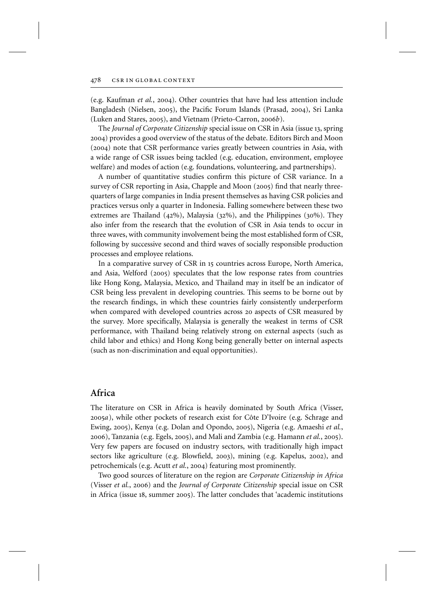#### 478 csr in global context

(e.g. Kaufman *et al.*, 2004). Other countries that have had less attention include Bangladesh (Nielsen, 2005), the Pacific Forum Islands (Prasad, 2004), Sri Lanka (Luken and Stares, 2005), and Vietnam (Prieto-Carron, 2006*b*).

The *Journal of Corporate Citizenship* special issue on CSR in Asia (issue 13, spring 2004) provides a good overview of the status of the debate. Editors Birch and Moon (2004) note that CSR performance varies greatly between countries in Asia, with a wide range of CSR issues being tackled (e.g. education, environment, employee welfare) and modes of action (e.g. foundations, volunteering, and partnerships).

A number of quantitative studies confirm this picture of CSR variance. In a survey of CSR reporting in Asia, Chapple and Moon (2005) find that nearly threequarters of large companies in India present themselves as having CSR policies and practices versus only a quarter in Indonesia. Falling somewhere between these two extremes are Thailand (42%), Malaysia (32%), and the Philippines (30%). They also infer from the research that the evolution of CSR in Asia tends to occur in three waves, with community involvement being the most established form of CSR, following by successive second and third waves of socially responsible production processes and employee relations.

In a comparative survey of CSR in 15 countries across Europe, North America, and Asia, Welford (2005) speculates that the low response rates from countries like Hong Kong, Malaysia, Mexico, and Thailand may in itself be an indicator of CSR being less prevalent in developing countries. This seems to be borne out by the research findings, in which these countries fairly consistently underperform when compared with developed countries across 20 aspects of CSR measured by the survey. More specifically, Malaysia is generally the weakest in terms of CSR performance, with Thailand being relatively strong on external aspects (such as child labor and ethics) and Hong Kong being generally better on internal aspects (such as non-discrimination and equal opportunities).

## **Africa**

The literature on CSR in Africa is heavily dominated by South Africa (Visser, 2005*a*), while other pockets of research exist for Côte D'Ivoire (e.g. Schrage and Ewing, 2005), Kenya (e.g. Dolan and Opondo, 2005), Nigeria (e.g. Amaeshi *et al.*, 2006), Tanzania (e.g. Egels, 2005), and Mali and Zambia (e.g. Hamann *et al.*, 2005). Very few papers are focused on industry sectors, with traditionally high impact sectors like agriculture (e.g. Blowfield, 2003), mining (e.g. Kapelus, 2002), and petrochemicals (e.g. Acutt *et al.*, 2004) featuring most prominently.

Two good sources of literature on the region are *Corporate Citizenship in Africa* (Visser *et al.*, 2006) and the *Journal of Corporate Citizenship* special issue on CSR in Africa (issue 18, summer 2005). The latter concludes that 'academic institutions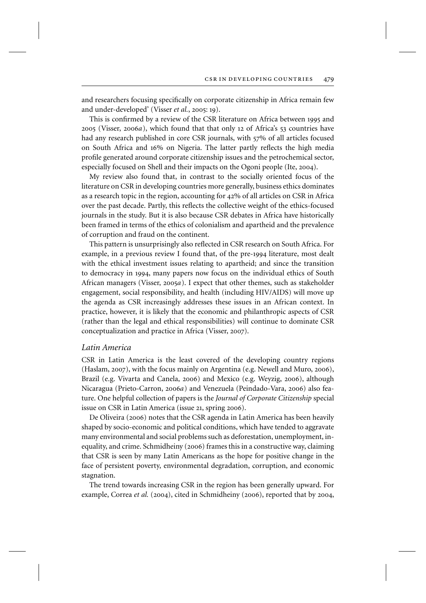and researchers focusing specifically on corporate citizenship in Africa remain few and under-developed' (Visser *et al.*, 2005: 19).

This is confirmed by a review of the CSR literature on Africa between 1995 and 2005 (Visser, 2006*a*), which found that that only 12 of Africa's 53 countries have had any research published in core CSR journals, with 57% of all articles focused on South Africa and 16% on Nigeria. The latter partly reflects the high media profile generated around corporate citizenship issues and the petrochemical sector, especially focused on Shell and their impacts on the Ogoni people (Ite, 2004).

My review also found that, in contrast to the socially oriented focus of the literature on CSR in developing countries more generally, business ethics dominates as a research topic in the region, accounting for 42% of all articles on CSR in Africa over the past decade. Partly, this reflects the collective weight of the ethics-focused journals in the study. But it is also because CSR debates in Africa have historically been framed in terms of the ethics of colonialism and apartheid and the prevalence of corruption and fraud on the continent.

This pattern is unsurprisingly also reflected in CSR research on South Africa. For example, in a previous review I found that, of the pre-1994 literature, most dealt with the ethical investment issues relating to apartheid; and since the transition to democracy in 1994, many papers now focus on the individual ethics of South African managers (Visser, 2005*a*). I expect that other themes, such as stakeholder engagement, social responsibility, and health (including HIV/AIDS) will move up the agenda as CSR increasingly addresses these issues in an African context. In practice, however, it is likely that the economic and philanthropic aspects of CSR (rather than the legal and ethical responsibilities) will continue to dominate CSR conceptualization and practice in Africa (Visser, 2007).

#### *Latin America*

CSR in Latin America is the least covered of the developing country regions (Haslam, 2007), with the focus mainly on Argentina (e.g. Newell and Muro, 2006), Brazil (e.g. Vivarta and Canela, 2006) and Mexico (e.g. Weyzig, 2006), although Nicaragua (Prieto-Carron, 2006*a*) and Venezuela (Peindado-Vara, 2006) also feature. One helpful collection of papers is the *Journal of Corporate Citizenship* special issue on CSR in Latin America (issue 21, spring 2006).

De Oliveira (2006) notes that the CSR agenda in Latin America has been heavily shaped by socio-economic and political conditions, which have tended to aggravate many environmental and social problems such as deforestation, unemployment, inequality, and crime. Schmidheiny (2006) frames this in a constructive way, claiming that CSR is seen by many Latin Americans as the hope for positive change in the face of persistent poverty, environmental degradation, corruption, and economic stagnation.

The trend towards increasing CSR in the region has been generally upward. For example, Correa *et al.* (2004), cited in Schmidheiny (2006), reported that by 2004,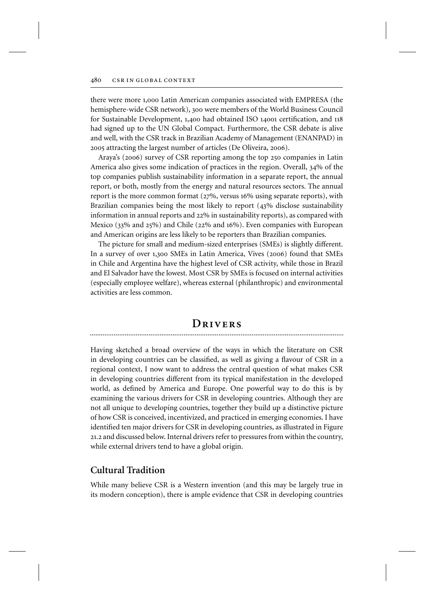there were more 1,000 Latin American companies associated with EMPRESA (the hemisphere-wide CSR network), 300 were members of the World Business Council for Sustainable Development, 1,400 had obtained ISO 14001 certification, and 118 had signed up to the UN Global Compact. Furthermore, the CSR debate is alive and well, with the CSR track in Brazilian Academy of Management (ENANPAD) in 2005 attracting the largest number of articles (De Oliveira, 2006).

Araya's (2006) survey of CSR reporting among the top 250 companies in Latin America also gives some indication of practices in the region. Overall, 34% of the top companies publish sustainability information in a separate report, the annual report, or both, mostly from the energy and natural resources sectors. The annual report is the more common format (27%, versus 16% using separate reports), with Brazilian companies being the most likely to report (43% disclose sustainability information in annual reports and 22% in sustainability reports), as compared with Mexico (33% and 25%) and Chile (22% and 16%). Even companies with European and American origins are less likely to be reporters than Brazilian companies.

The picture for small and medium-sized enterprises (SMEs) is slightly different. In a survey of over 1,300 SMEs in Latin America, Vives (2006) found that SMEs in Chile and Argentina have the highest level of CSR activity, while those in Brazil and El Salvador have the lowest. Most CSR by SMEs is focused on internal activities (especially employee welfare), whereas external (philanthropic) and environmental activities are less common.

## **<sup>D</sup>rivers** ..........................................................................................................................................

Having sketched a broad overview of the ways in which the literature on CSR in developing countries can be classified, as well as giving a flavour of CSR in a regional context, I now want to address the central question of what makes CSR in developing countries different from its typical manifestation in the developed world, as defined by America and Europe. One powerful way to do this is by examining the various drivers for CSR in developing countries. Although they are not all unique to developing countries, together they build up a distinctive picture of how CSR is conceived, incentivized, and practiced in emerging economies. I have identified ten major drivers for CSR in developing countries, as illustrated in Figure 21.2 and discussed below. Internal drivers refer to pressures from within the country, while external drivers tend to have a global origin.

## **Cultural Tradition**

While many believe CSR is a Western invention (and this may be largely true in its modern conception), there is ample evidence that CSR in developing countries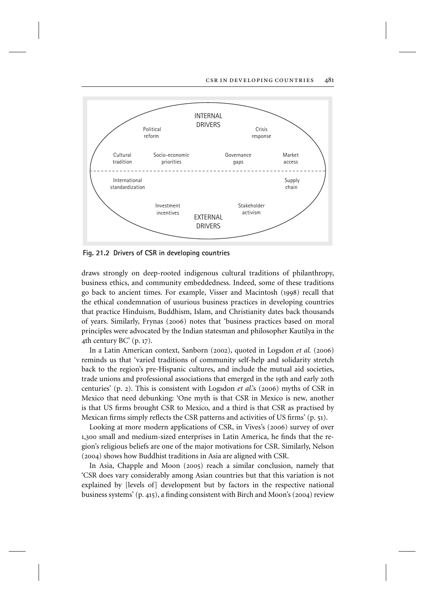

**Fig. 21.2 Drivers of CSR in developing countries**

draws strongly on deep-rooted indigenous cultural traditions of philanthropy, business ethics, and community embeddedness. Indeed, some of these traditions go back to ancient times. For example, Visser and Macintosh (1998) recall that the ethical condemnation of usurious business practices in developing countries that practice Hinduism, Buddhism, Islam, and Christianity dates back thousands of years. Similarly, Frynas (2006) notes that 'business practices based on moral principles were advocated by the Indian statesman and philosopher Kautilya in the 4th century BC' (p. 17).

In a Latin American context, Sanborn (2002), quoted in Logsdon *et al.* (2006) reminds us that 'varied traditions of community self-help and solidarity stretch back to the region's pre-Hispanic cultures, and include the mutual aid societies, trade unions and professional associations that emerged in the 19th and early 20th centuries' (p. 2). This is consistent with Logsdon *et al*.'s (2006) myths of CSR in Mexico that need debunking: 'One myth is that CSR in Mexico is new, another is that US firms brought CSR to Mexico, and a third is that CSR as practised by Mexican firms simply reflects the CSR patterns and activities of US firms' (p. 51).

Looking at more modern applications of CSR, in Vives's (2006) survey of over 1,300 small and medium-sized enterprises in Latin America, he finds that the region's religious beliefs are one of the major motivations for CSR. Similarly, Nelson (2004) shows how Buddhist traditions in Asia are aligned with CSR.

In Asia, Chapple and Moon (2005) reach a similar conclusion, namely that 'CSR does vary considerably among Asian countries but that this variation is not explained by [levels of] development but by factors in the respective national business systems' (p. 415), a finding consistent with Birch and Moon's (2004) review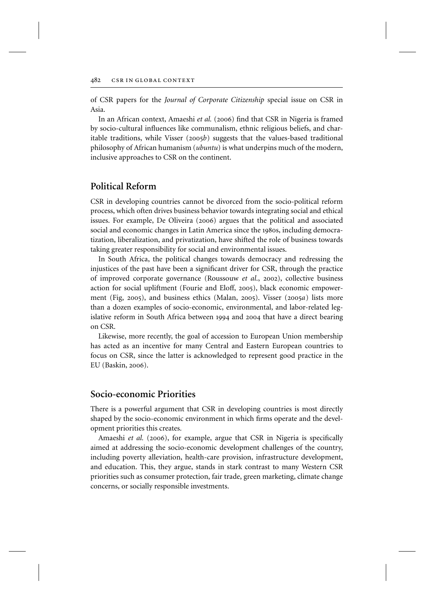of CSR papers for the *Journal of Corporate Citizenship* special issue on CSR in Asia.

In an African context, Amaeshi *et al.* (2006) find that CSR in Nigeria is framed by socio-cultural influences like communalism, ethnic religious beliefs, and charitable traditions, while Visser (2005*b*) suggests that the values-based traditional philosophy of African humanism (*ubuntu*) is what underpins much of the modern, inclusive approaches to CSR on the continent.

## **Political Reform**

CSR in developing countries cannot be divorced from the socio-political reform process, which often drives business behavior towards integrating social and ethical issues. For example, De Oliveira (2006) argues that the political and associated social and economic changes in Latin America since the 1980s, including democratization, liberalization, and privatization, have shifted the role of business towards taking greater responsibility for social and environmental issues.

In South Africa, the political changes towards democracy and redressing the injustices of the past have been a significant driver for CSR, through the practice of improved corporate governance (Roussouw *et al*., 2002), collective business action for social upliftment (Fourie and Eloff, 2005), black economic empowerment (Fig, 2005), and business ethics (Malan, 2005). Visser (2005*a*) lists more than a dozen examples of socio-economic, environmental, and labor-related legislative reform in South Africa between 1994 and 2004 that have a direct bearing on CSR.

Likewise, more recently, the goal of accession to European Union membership has acted as an incentive for many Central and Eastern European countries to focus on CSR, since the latter is acknowledged to represent good practice in the EU (Baskin, 2006).

#### **Socio-economic Priorities**

There is a powerful argument that CSR in developing countries is most directly shaped by the socio-economic environment in which firms operate and the development priorities this creates.

Amaeshi *et al.* (2006), for example, argue that CSR in Nigeria is specifically aimed at addressing the socio-economic development challenges of the country, including poverty alleviation, health-care provision, infrastructure development, and education. This, they argue, stands in stark contrast to many Western CSR priorities such as consumer protection, fair trade, green marketing, climate change concerns, or socially responsible investments.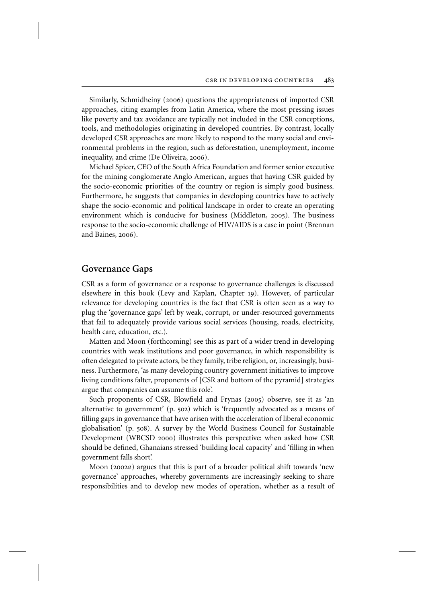Similarly, Schmidheiny (2006) questions the appropriateness of imported CSR approaches, citing examples from Latin America, where the most pressing issues like poverty and tax avoidance are typically not included in the CSR conceptions, tools, and methodologies originating in developed countries. By contrast, locally developed CSR approaches are more likely to respond to the many social and environmental problems in the region, such as deforestation, unemployment, income inequality, and crime (De Oliveira, 2006).

Michael Spicer, CEO of the South Africa Foundation and former senior executive for the mining conglomerate Anglo American, argues that having CSR guided by the socio-economic priorities of the country or region is simply good business. Furthermore, he suggests that companies in developing countries have to actively shape the socio-economic and political landscape in order to create an operating environment which is conducive for business (Middleton, 2005). The business response to the socio-economic challenge of HIV/AIDS is a case in point (Brennan and Baines, 2006).

#### **Governance Gaps**

CSR as a form of governance or a response to governance challenges is discussed elsewhere in this book (Levy and Kaplan, Chapter 19). However, of particular relevance for developing countries is the fact that CSR is often seen as a way to plug the 'governance gaps' left by weak, corrupt, or under-resourced governments that fail to adequately provide various social services (housing, roads, electricity, health care, education, etc.).

Matten and Moon (forthcoming) see this as part of a wider trend in developing countries with weak institutions and poor governance, in which responsibility is often delegated to private actors, be they family, tribe religion, or, increasingly, business. Furthermore, 'as many developing country government initiatives to improve living conditions falter, proponents of [CSR and bottom of the pyramid] strategies argue that companies can assume this role'.

Such proponents of CSR, Blowfield and Frynas (2005) observe, see it as 'an alternative to government' (p. 502) which is 'frequently advocated as a means of filling gaps in governance that have arisen with the acceleration of liberal economic globalisation' (p. 508). A survey by the World Business Council for Sustainable Development (WBCSD 2000) illustrates this perspective: when asked how CSR should be defined, Ghanaians stressed 'building local capacity' and 'filling in when government falls short'.

Moon (2002*a*) argues that this is part of a broader political shift towards 'new governance' approaches, whereby governments are increasingly seeking to share responsibilities and to develop new modes of operation, whether as a result of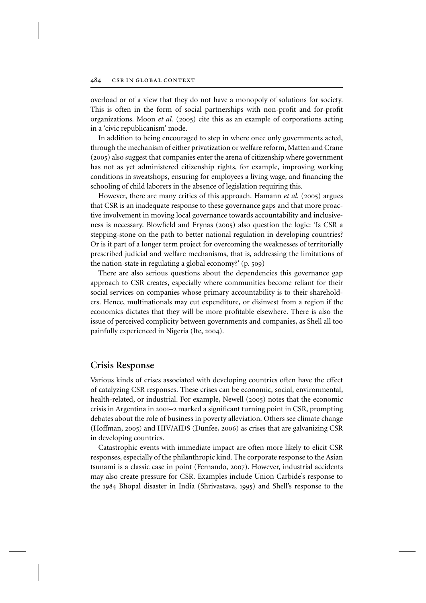overload or of a view that they do not have a monopoly of solutions for society. This is often in the form of social partnerships with non-profit and for-profit organizations. Moon *et al.* (2005) cite this as an example of corporations acting in a 'civic republicanism' mode.

In addition to being encouraged to step in where once only governments acted, through the mechanism of either privatization or welfare reform, Matten and Crane (2005) also suggest that companies enter the arena of citizenship where government has not as yet administered citizenship rights, for example, improving working conditions in sweatshops, ensuring for employees a living wage, and financing the schooling of child laborers in the absence of legislation requiring this.

However, there are many critics of this approach. Hamann *et al.* (2005) argues that CSR is an inadequate response to these governance gaps and that more proactive involvement in moving local governance towards accountability and inclusiveness is necessary. Blowfield and Frynas (2005) also question the logic: 'Is CSR a stepping-stone on the path to better national regulation in developing countries? Or is it part of a longer term project for overcoming the weaknesses of territorially prescribed judicial and welfare mechanisms, that is, addressing the limitations of the nation-state in regulating a global economy?' (p. 509)

There are also serious questions about the dependencies this governance gap approach to CSR creates, especially where communities become reliant for their social services on companies whose primary accountability is to their shareholders. Hence, multinationals may cut expenditure, or disinvest from a region if the economics dictates that they will be more profitable elsewhere. There is also the issue of perceived complicity between governments and companies, as Shell all too painfully experienced in Nigeria (Ite, 2004).

#### **Crisis Response**

Various kinds of crises associated with developing countries often have the effect of catalyzing CSR responses. These crises can be economic, social, environmental, health-related, or industrial. For example, Newell (2005) notes that the economic crisis in Argentina in 2001–2 marked a significant turning point in CSR, prompting debates about the role of business in poverty alleviation. Others see climate change (Hoffman, 2005) and HIV/AIDS (Dunfee, 2006) as crises that are galvanizing CSR in developing countries.

Catastrophic events with immediate impact are often more likely to elicit CSR responses, especially of the philanthropic kind. The corporate response to the Asian tsunami is a classic case in point (Fernando, 2007). However, industrial accidents may also create pressure for CSR. Examples include Union Carbide's response to the 1984 Bhopal disaster in India (Shrivastava, 1995) and Shell's response to the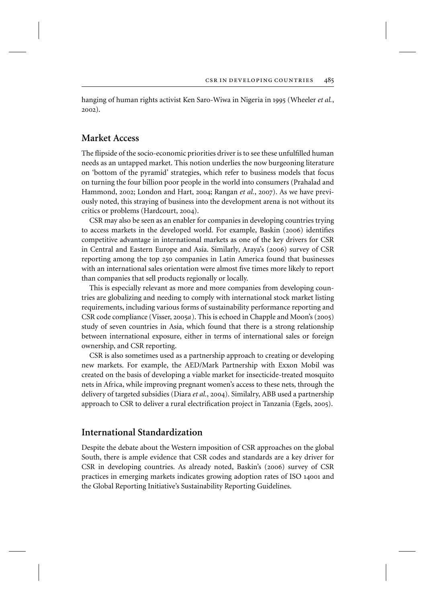hanging of human rights activist Ken Saro-Wiwa in Nigeria in 1995 (Wheeler *et al.*, 2002).

## **Market Access**

The flipside of the socio-economic priorities driver is to see these unfulfilled human needs as an untapped market. This notion underlies the now burgeoning literature on 'bottom of the pyramid' strategies, which refer to business models that focus on turning the four billion poor people in the world into consumers (Prahalad and Hammond, 2002; London and Hart, 2004; Rangan *et al.*, 2007). As we have previously noted, this straying of business into the development arena is not without its critics or problems (Hardcourt, 2004).

CSR may also be seen as an enabler for companies in developing countries trying to access markets in the developed world. For example, Baskin (2006) identifies competitive advantage in international markets as one of the key drivers for CSR in Central and Eastern Europe and Asia. Similarly, Araya's (2006) survey of CSR reporting among the top 250 companies in Latin America found that businesses with an international sales orientation were almost five times more likely to report than companies that sell products regionally or locally.

This is especially relevant as more and more companies from developing countries are globalizing and needing to comply with international stock market listing requirements, including various forms of sustainability performance reporting and CSR code compliance (Visser, 2005*a*). This is echoed in Chapple and Moon's (2005) study of seven countries in Asia, which found that there is a strong relationship between international exposure, either in terms of international sales or foreign ownership, and CSR reporting.

CSR is also sometimes used as a partnership approach to creating or developing new markets. For example, the AED/Mark Partnership with Exxon Mobil was created on the basis of developing a viable market for insecticide-treated mosquito nets in Africa, while improving pregnant women's access to these nets, through the delivery of targeted subsidies (Diara *et al.*, 2004). Similalry, ABB used a partnership approach to CSR to deliver a rural electrification project in Tanzania (Egels, 2005).

#### **International Standardization**

Despite the debate about the Western imposition of CSR approaches on the global South, there is ample evidence that CSR codes and standards are a key driver for CSR in developing countries. As already noted, Baskin's (2006) survey of CSR practices in emerging markets indicates growing adoption rates of ISO 14001 and the Global Reporting Initiative's Sustainability Reporting Guidelines.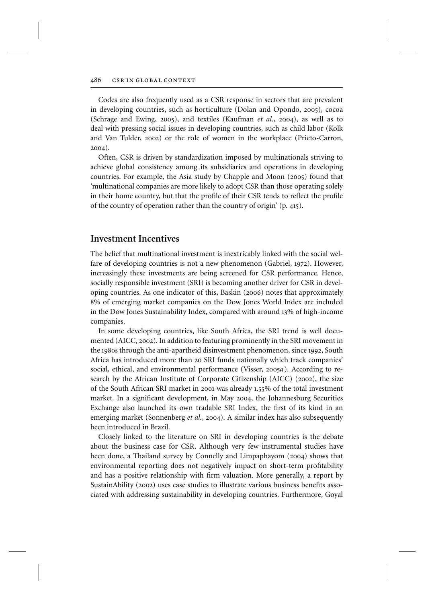Codes are also frequently used as a CSR response in sectors that are prevalent in developing countries, such as horticulture (Dolan and Opondo, 2005), cocoa (Schrage and Ewing, 2005), and textiles (Kaufman *et al*., 2004), as well as to deal with pressing social issues in developing countries, such as child labor (Kolk and Van Tulder, 2002) or the role of women in the workplace (Prieto-Carron, 2004).

Often, CSR is driven by standardization imposed by multinationals striving to achieve global consistency among its subsidiaries and operations in developing countries. For example, the Asia study by Chapple and Moon (2005) found that 'multinational companies are more likely to adopt CSR than those operating solely in their home country, but that the profile of their CSR tends to reflect the profile of the country of operation rather than the country of origin' (p. 415).

#### **Investment Incentives**

The belief that multinational investment is inextricably linked with the social welfare of developing countries is not a new phenomenon (Gabriel, 1972). However, increasingly these investments are being screened for CSR performance. Hence, socially responsible investment (SRI) is becoming another driver for CSR in developing countries. As one indicator of this, Baskin (2006) notes that approximately 8% of emerging market companies on the Dow Jones World Index are included in the Dow Jones Sustainability Index, compared with around 13% of high-income companies.

In some developing countries, like South Africa, the SRI trend is well documented (AICC, 2002). In addition to featuring prominently in the SRI movement in the 1980s through the anti-apartheid disinvestment phenomenon, since 1992, South Africa has introduced more than 20 SRI funds nationally which track companies' social, ethical, and environmental performance (Visser, 2005*a*). According to research by the African Institute of Corporate Citizenship (AICC) (2002), the size of the South African SRI market in 2001 was already 1.55% of the total investment market. In a significant development, in May 2004, the Johannesburg Securities Exchange also launched its own tradable SRI Index, the first of its kind in an emerging market (Sonnenberg *et al.*, 2004). A similar index has also subsequently been introduced in Brazil.

Closely linked to the literature on SRI in developing countries is the debate about the business case for CSR. Although very few instrumental studies have been done, a Thailand survey by Connelly and Limpaphayom (2004) shows that environmental reporting does not negatively impact on short-term profitability and has a positive relationship with firm valuation. More generally, a report by SustainAbility (2002) uses case studies to illustrate various business benefits associated with addressing sustainability in developing countries. Furthermore, Goyal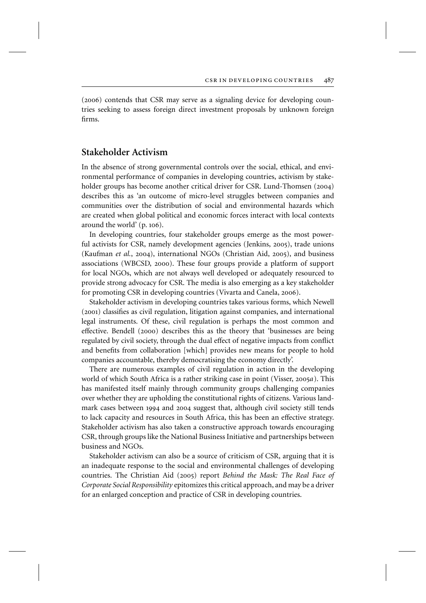(2006) contends that CSR may serve as a signaling device for developing countries seeking to assess foreign direct investment proposals by unknown foreign firms.

### **Stakeholder Activism**

In the absence of strong governmental controls over the social, ethical, and environmental performance of companies in developing countries, activism by stakeholder groups has become another critical driver for CSR. Lund-Thomsen (2004) describes this as 'an outcome of micro-level struggles between companies and communities over the distribution of social and environmental hazards which are created when global political and economic forces interact with local contexts around the world' (p. 106).

In developing countries, four stakeholder groups emerge as the most powerful activists for CSR, namely development agencies (Jenkins, 2005), trade unions (Kaufman *et al.*, 2004), international NGOs (Christian Aid, 2005), and business associations (WBCSD, 2000). These four groups provide a platform of support for local NGOs, which are not always well developed or adequately resourced to provide strong advocacy for CSR. The media is also emerging as a key stakeholder for promoting CSR in developing countries (Vivarta and Canela, 2006).

Stakeholder activism in developing countries takes various forms, which Newell (2001) classifies as civil regulation, litigation against companies, and international legal instruments. Of these, civil regulation is perhaps the most common and effective. Bendell (2000) describes this as the theory that 'businesses are being regulated by civil society, through the dual effect of negative impacts from conflict and benefits from collaboration [which] provides new means for people to hold companies accountable, thereby democratising the economy directly'.

There are numerous examples of civil regulation in action in the developing world of which South Africa is a rather striking case in point (Visser, 2005*a*). This has manifested itself mainly through community groups challenging companies over whether they are upholding the constitutional rights of citizens. Various landmark cases between 1994 and 2004 suggest that, although civil society still tends to lack capacity and resources in South Africa, this has been an effective strategy. Stakeholder activism has also taken a constructive approach towards encouraging CSR, through groups like the National Business Initiative and partnerships between business and NGOs.

Stakeholder activism can also be a source of criticism of CSR, arguing that it is an inadequate response to the social and environmental challenges of developing countries. The Christian Aid (2005) report *Behind the Mask: The Real Face of Corporate Social Responsibility* epitomizes this critical approach, and may be a driver for an enlarged conception and practice of CSR in developing countries.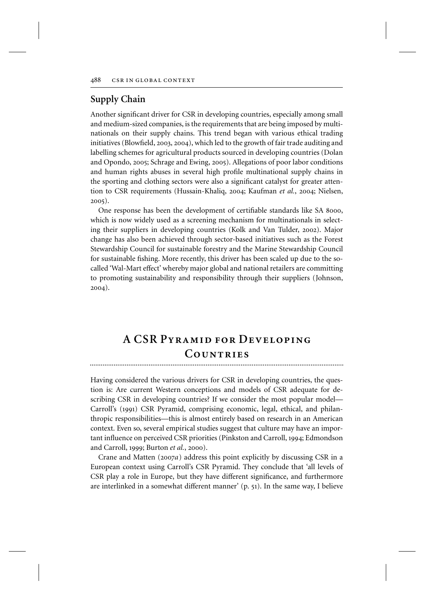## **Supply Chain**

Another significant driver for CSR in developing countries, especially among small and medium-sized companies, is the requirements that are being imposed by multinationals on their supply chains. This trend began with various ethical trading initiatives (Blowfield, 2003, 2004), which led to the growth of fair trade auditing and labelling schemes for agricultural products sourced in developing countries (Dolan and Opondo, 2005; Schrage and Ewing, 2005). Allegations of poor labor conditions and human rights abuses in several high profile multinational supply chains in the sporting and clothing sectors were also a significant catalyst for greater attention to CSR requirements (Hussain-Khaliq, 2004; Kaufman *et al.*, 2004; Nielsen, 2005).

One response has been the development of certifiable standards like SA 8000, which is now widely used as a screening mechanism for multinationals in selecting their suppliers in developing countries (Kolk and Van Tulder, 2002). Major change has also been achieved through sector-based initiatives such as the Forest Stewardship Council for sustainable forestry and the Marine Stewardship Council for sustainable fishing. More recently, this driver has been scaled up due to the socalled 'Wal-Mart effect' whereby major global and national retailers are committing to promoting sustainability and responsibility through their suppliers (Johnson, 2004).

## **A CSR Pyramid for Developing** COUNTRIES

Having considered the various drivers for CSR in developing countries, the question is: Are current Western conceptions and models of CSR adequate for describing CSR in developing countries? If we consider the most popular model— Carroll's (1991) CSR Pyramid, comprising economic, legal, ethical, and philanthropic responsibilities—this is almost entirely based on research in an American context. Even so, several empirical studies suggest that culture may have an important influence on perceived CSR priorities (Pinkston and Carroll, 1994; Edmondson and Carroll, 1999; Burton *et al.*, 2000).

Crane and Matten (2007*a*) address this point explicitly by discussing CSR in a European context using Carroll's CSR Pyramid. They conclude that 'all levels of CSR play a role in Europe, but they have different significance, and furthermore are interlinked in a somewhat different manner' (p. 51). In the same way, I believe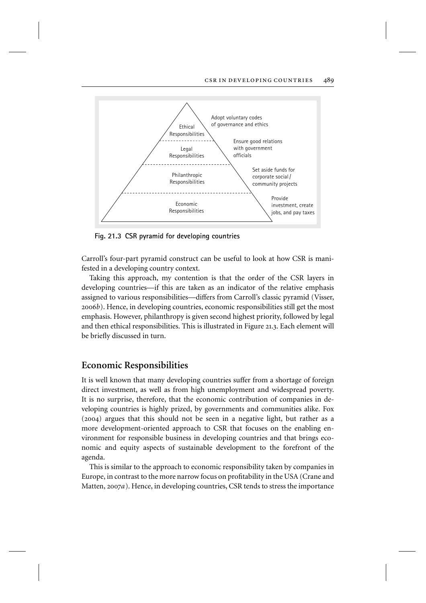

**Fig. 21.3 CSR pyramid for developing countries**

Carroll's four-part pyramid construct can be useful to look at how CSR is manifested in a developing country context.

Taking this approach, my contention is that the order of the CSR layers in developing countries—if this are taken as an indicator of the relative emphasis assigned to various responsibilities—differs from Carroll's classic pyramid (Visser, 2006*b*). Hence, in developing countries, economic responsibilities still get the most emphasis. However, philanthropy is given second highest priority, followed by legal and then ethical responsibilities. This is illustrated in Figure 21.3. Each element will be briefly discussed in turn.

#### **Economic Responsibilities**

It is well known that many developing countries suffer from a shortage of foreign direct investment, as well as from high unemployment and widespread poverty. It is no surprise, therefore, that the economic contribution of companies in developing countries is highly prized, by governments and communities alike. Fox (2004) argues that this should not be seen in a negative light, but rather as a more development-oriented approach to CSR that focuses on the enabling environment for responsible business in developing countries and that brings economic and equity aspects of sustainable development to the forefront of the agenda.

This is similar to the approach to economic responsibility taken by companies in Europe, in contrast to the more narrow focus on profitability in the USA (Crane and Matten, 2007*a*). Hence, in developing countries, CSR tends to stress the importance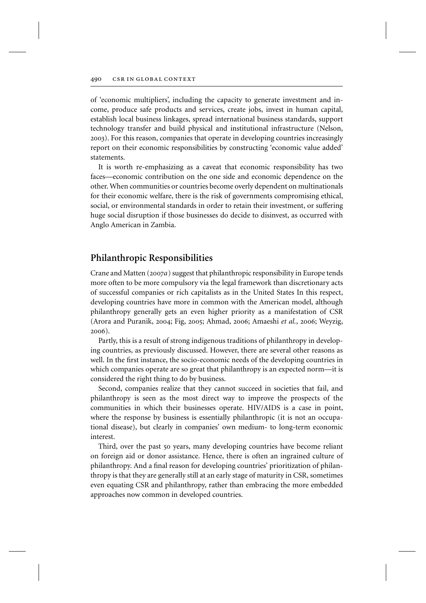of 'economic multipliers', including the capacity to generate investment and income, produce safe products and services, create jobs, invest in human capital, establish local business linkages, spread international business standards, support technology transfer and build physical and institutional infrastructure (Nelson, 2003). For this reason, companies that operate in developing countries increasingly report on their economic responsibilities by constructing 'economic value added' statements.

It is worth re-emphasizing as a caveat that economic responsibility has two faces—economic contribution on the one side and economic dependence on the other. When communities or countries become overly dependent on multinationals for their economic welfare, there is the risk of governments compromising ethical, social, or environmental standards in order to retain their investment, or suffering huge social disruption if those businesses do decide to disinvest, as occurred with Anglo American in Zambia.

#### **Philanthropic Responsibilities**

Crane and Matten (2007*a*) suggest that philanthropic responsibility in Europe tends more often to be more compulsory via the legal framework than discretionary acts of successful companies or rich capitalists as in the United States In this respect, developing countries have more in common with the American model, although philanthropy generally gets an even higher priority as a manifestation of CSR (Arora and Puranik, 2004; Fig, 2005; Ahmad, 2006; Amaeshi *et al.*, 2006; Weyzig, 2006).

Partly, this is a result of strong indigenous traditions of philanthropy in developing countries, as previously discussed. However, there are several other reasons as well. In the first instance, the socio-economic needs of the developing countries in which companies operate are so great that philanthropy is an expected norm—it is considered the right thing to do by business.

Second, companies realize that they cannot succeed in societies that fail, and philanthropy is seen as the most direct way to improve the prospects of the communities in which their businesses operate. HIV/AIDS is a case in point, where the response by business is essentially philanthropic (it is not an occupational disease), but clearly in companies' own medium- to long-term economic interest.

Third, over the past 50 years, many developing countries have become reliant on foreign aid or donor assistance. Hence, there is often an ingrained culture of philanthropy. And a final reason for developing countries' prioritization of philanthropy is that they are generally still at an early stage of maturity in CSR, sometimes even equating CSR and philanthropy, rather than embracing the more embedded approaches now common in developed countries.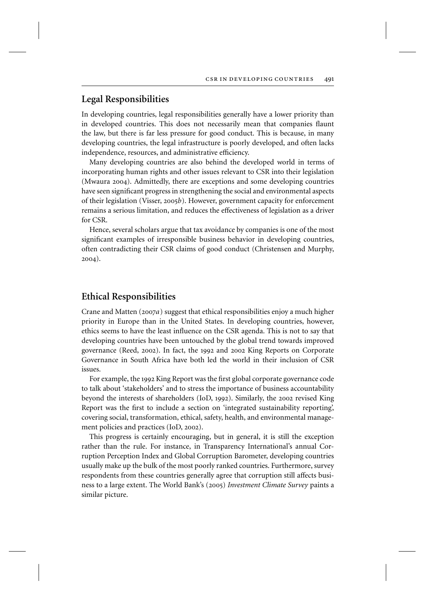## **Legal Responsibilities**

In developing countries, legal responsibilities generally have a lower priority than in developed countries. This does not necessarily mean that companies flaunt the law, but there is far less pressure for good conduct. This is because, in many developing countries, the legal infrastructure is poorly developed, and often lacks independence, resources, and administrative efficiency.

Many developing countries are also behind the developed world in terms of incorporating human rights and other issues relevant to CSR into their legislation (Mwaura 2004). Admittedly, there are exceptions and some developing countries have seen significant progress in strengthening the social and environmental aspects of their legislation (Visser, 2005*b*). However, government capacity for enforcement remains a serious limitation, and reduces the effectiveness of legislation as a driver for CSR.

Hence, several scholars argue that tax avoidance by companies is one of the most significant examples of irresponsible business behavior in developing countries, often contradicting their CSR claims of good conduct (Christensen and Murphy, 2004).

#### **Ethical Responsibilities**

Crane and Matten (2007*a*) suggest that ethical responsibilities enjoy a much higher priority in Europe than in the United States. In developing countries, however, ethics seems to have the least influence on the CSR agenda. This is not to say that developing countries have been untouched by the global trend towards improved governance (Reed, 2002). In fact, the 1992 and 2002 King Reports on Corporate Governance in South Africa have both led the world in their inclusion of CSR issues.

For example, the 1992 King Report was the first global corporate governance code to talk about 'stakeholders' and to stress the importance of business accountability beyond the interests of shareholders (IoD, 1992). Similarly, the 2002 revised King Report was the first to include a section on 'integrated sustainability reporting', covering social, transformation, ethical, safety, health, and environmental management policies and practices (IoD, 2002).

This progress is certainly encouraging, but in general, it is still the exception rather than the rule. For instance, in Transparency International's annual Corruption Perception Index and Global Corruption Barometer, developing countries usually make up the bulk of the most poorly ranked countries. Furthermore, survey respondents from these countries generally agree that corruption still affects business to a large extent. The World Bank's (2005) *Investment Climate Survey* paints a similar picture.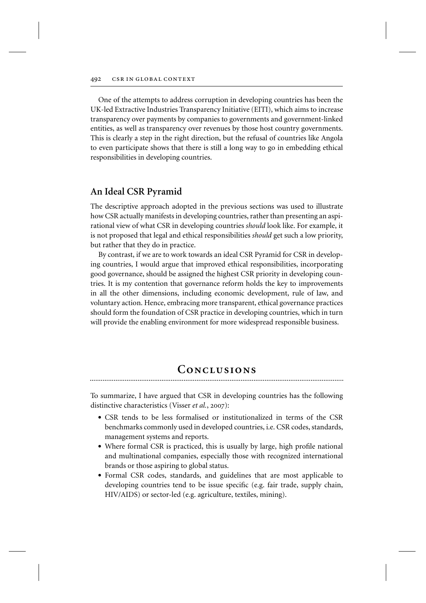One of the attempts to address corruption in developing countries has been the UK-led Extractive Industries Transparency Initiative (EITI), which aims to increase transparency over payments by companies to governments and government-linked entities, as well as transparency over revenues by those host country governments. This is clearly a step in the right direction, but the refusal of countries like Angola to even participate shows that there is still a long way to go in embedding ethical responsibilities in developing countries.

### **An Ideal CSR Pyramid**

The descriptive approach adopted in the previous sections was used to illustrate how CSR actually manifests in developing countries, rather than presenting an aspirational view of what CSR in developing countries *should* look like. For example, it is not proposed that legal and ethical responsibilities *should* get such a low priority, but rather that they do in practice.

By contrast, if we are to work towards an ideal CSR Pyramid for CSR in developing countries, I would argue that improved ethical responsibilities, incorporating good governance, should be assigned the highest CSR priority in developing countries. It is my contention that governance reform holds the key to improvements in all the other dimensions, including economic development, rule of law, and voluntary action. Hence, embracing more transparent, ethical governance practices should form the foundation of CSR practice in developing countries, which in turn will provide the enabling environment for more widespread responsible business.

## CONCLUSIONS

To summarize, I have argued that CSR in developing countries has the following distinctive characteristics (Visser *et al.*, 2007):

- CSR tends to be less formalised or institutionalized in terms of the CSR benchmarks commonly used in developed countries, i.e. CSR codes, standards, management systems and reports.
- Where formal CSR is practiced, this is usually by large, high profile national and multinational companies, especially those with recognized international brands or those aspiring to global status.
- Formal CSR codes, standards, and guidelines that are most applicable to developing countries tend to be issue specific (e.g. fair trade, supply chain, HIV/AIDS) or sector-led (e.g. agriculture, textiles, mining).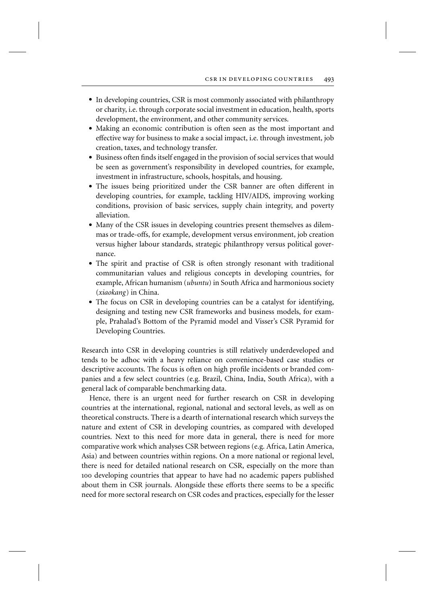- In developing countries, CSR is most commonly associated with philanthropy or charity, i.e. through corporate social investment in education, health, sports development, the environment, and other community services.
- Making an economic contribution is often seen as the most important and effective way for business to make a social impact, i.e. through investment, job creation, taxes, and technology transfer.
- Business often finds itself engaged in the provision of social services that would be seen as government's responsibility in developed countries, for example, investment in infrastructure, schools, hospitals, and housing.
- The issues being prioritized under the CSR banner are often different in developing countries, for example, tackling HIV/AIDS, improving working conditions, provision of basic services, supply chain integrity, and poverty alleviation.
- Many of the CSR issues in developing countries present themselves as dilemmas or trade-offs, for example, development versus environment, job creation versus higher labour standards, strategic philanthropy versus political governance.
- The spirit and practise of CSR is often strongly resonant with traditional communitarian values and religious concepts in developing countries, for example, African humanism (*ubuntu*) in South Africa and harmonious society (*xiaokang*) in China.
- The focus on CSR in developing countries can be a catalyst for identifying, designing and testing new CSR frameworks and business models, for example, Prahalad's Bottom of the Pyramid model and Visser's CSR Pyramid for Developing Countries.

Research into CSR in developing countries is still relatively underdeveloped and tends to be adhoc with a heavy reliance on convenience-based case studies or descriptive accounts. The focus is often on high profile incidents or branded companies and a few select countries (e.g. Brazil, China, India, South Africa), with a general lack of comparable benchmarking data.

Hence, there is an urgent need for further research on CSR in developing countries at the international, regional, national and sectoral levels, as well as on theoretical constructs. There is a dearth of international research which surveys the nature and extent of CSR in developing countries, as compared with developed countries. Next to this need for more data in general, there is need for more comparative work which analyses CSR between regions (e.g. Africa, Latin America, Asia) and between countries within regions. On a more national or regional level, there is need for detailed national research on CSR, especially on the more than 100 developing countries that appear to have had no academic papers published about them in CSR journals. Alongside these efforts there seems to be a specific need for more sectoral research on CSR codes and practices, especially for the lesser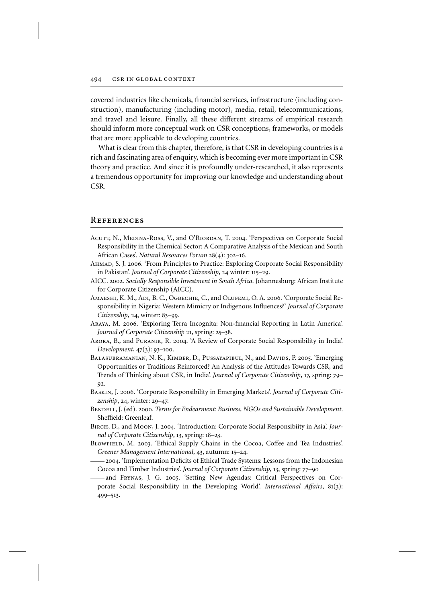covered industries like chemicals, financial services, infrastructure (including construction), manufacturing (including motor), media, retail, telecommunications, and travel and leisure. Finally, all these different streams of empirical research should inform more conceptual work on CSR conceptions, frameworks, or models that are more applicable to developing countries.

What is clear from this chapter, therefore, is that CSR in developing countries is a rich and fascinating area of enquiry, which is becoming ever more important in CSR theory and practice. And since it is profoundly under-researched, it also represents a tremendous opportunity for improving our knowledge and understanding about CSR.

#### **References**

- ACUTT, N., MEDINA-Ross, V., and O'RIORDAN, T. 2004. 'Perspectives on Corporate Social Responsibility in the Chemical Sector: A Comparative Analysis of the Mexican and South African Cases'. *Natural Resources Forum* 28(4): 302–16.
- Ahmad, S. J. 2006. 'From Principles to Practice: Exploring Corporate Social Responsibility in Pakistan'. *Journal of Corporate Citizenship*, 24 winter: 115–29.
- AICC. 2002. *Socially Responsible Investment in South Africa*. Johannesburg: African Institute for Corporate Citizenship (AICC).
- Amaeshi, K. M., Adi, B. C., Ogbechie, C., and Olufemi, O. A. 2006. 'Corporate Social Responsibility in Nigeria: Western Mimicry or Indigenous Influences?' *Journal of Corporate Citizenship*, 24, winter: 83–99.
- Araya, M. 2006. 'Exploring Terra Incognita: Non-financial Reporting in Latin America'. *Journal of Corporate Citizenship* 21, spring: 25–38.
- Arora, B., and Puranik, R. 2004. 'A Review of Corporate Social Responsibility in India'. *Development*, 47(3): 93–100.
- Balasubramanian, N. K., Kimber, D., Pussayapibul, N., and Davids, P. 2005. 'Emerging Opportunities or Traditions Reinforced? An Analysis of the Attitudes Towards CSR, and Trends of Thinking about CSR, in India'. *Journal of Corporate Citizenship*, 17, spring: 79–  $Q2$ .
- Baskin, J. 2006. 'Corporate Responsibility in Emerging Markets'. *Journal of Corporate Citizenship*, 24, winter: 29–47.
- Bendell, J. (ed). 2000. *Terms for Endearment: Business, NGOs and Sustainable Development*. Sheffield: Greenleaf.
- Birch, D., and Moon, J. 2004. 'Introduction: Corporate Social Responsibiity in Asia'. *Journal of Corporate Citizenship*, 13, spring: 18–23.
- Blowfield, M. 2003. 'Ethical Supply Chains in the Cocoa, Coffee and Tea Industries'. *Greener Management International*, 43, autumn: 15–24.
- 2004. 'Implementation Deficits of Ethical Trade Systems: Lessons from the Indonesian Cocoa and Timber Industries'. *Journal of Corporate Citizenship*, 13, spring: 77–90
- and Frynas, J. G. 2005. 'Setting New Agendas: Critical Perspectives on Corporate Social Responsibility in the Developing World'. *International Affairs*, 81(3): 499–513.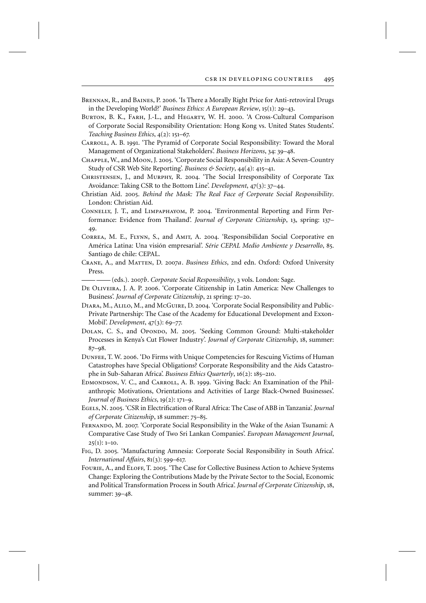- Brennan, R., and Baines, P. 2006. 'Is There a Morally Right Price for Anti-retroviral Drugs in the Developing World?' *Business Ethics: A European Review*, 15(1): 29–43.
- Burton, B. K., Farh, J.-L., and Hegarty, W. H. 2000. 'A Cross-Cultural Comparison of Corporate Social Responsibility Orientation: Hong Kong vs. United States Students'. *Teaching Business Ethics*, 4(2): 151–67.
- Carroll, A. B. 1991. 'The Pyramid of Corporate Social Responsibility: Toward the Moral Management of Organizational Stakeholders'. *Business Horizons*, 34: 39–48.
- Chapple, W., and Moon, J. 2005. 'Corporate Social Responsibility in Asia: A Seven-Country Study of CSR Web Site Reporting'. *Business & Society*, 44(4): 415–41.
- Christensen, J., and Murphy, R. 2004. 'The Social Irresponsibility of Corporate Tax Avoidance: Taking CSR to the Bottom Line'. *Development*, 47(3): 37–44.
- Christian Aid. 2005. *Behind the Mask: The Real Face of Corporate Social Responsibility*. London: Christian Aid.
- Connelly, J. T., and Limpaphayom, P. 2004. 'Environmental Reporting and Firm Performance: Evidence from Thailand'. *Journal of Corporate Citizenship*, 13, spring: 137– 49.
- Correa, M. E., Flynn, S., and Amit, A. 2004. 'Responsibilidan Social Corporative en América Latina: Una visión empresarial'. *Série CEPAL Medio Ambiente y Desarrollo*, 85. Santiago de chile: CEPAL.
- Crane, A., and Matten, D. 2007*a*. *Business Ethics*, 2nd edn. Oxford: Oxford University Press.

(eds.). 2007*b*. *Corporate Social Responsibility*, 3 vols. London: Sage.

- De Oliveira, J. A. P. 2006. 'Corporate Citizenship in Latin America: New Challenges to Business'. *Journal of Corporate Citizenship*, 21 spring: 17–20.
- Diara, M., Alilo, M., and McGuire, D. 2004. 'Corporate Social Responsibility and Public-Private Partnership: The Case of the Academy for Educational Development and Exxon-Mobil'. *Development*, 47(3): 69–77.
- DOLAN, C. S., and Opondo, M. 2005. 'Seeking Common Ground: Multi-stakeholder Processes in Kenya's Cut Flower Industry'. *Journal of Corporate Citizenship*, 18, summer: 87–98.
- Dunfee, T. W. 2006. 'Do Firms with Unique Competencies for Rescuing Victims of Human Catastrophes have Special Obligations? Corporate Responsibility and the Aids Catastrophe in Sub-Saharan Africa'. *Business Ethics Quarterly*, 16(2): 185–210.
- Edmondson, V. C., and Carroll, A. B. 1999. 'Giving Back: An Examination of the Philanthropic Motivations, Orientations and Activities of Large Black-Owned Businesses'. *Journal of Business Ethics*, 19(2): 171–9.
- Egels, N. 2005. 'CSR in Electrification of Rural Africa: The Case of ABB in Tanzania'. *Journal of Corporate Citizenship*, 18 summer: 75–85.
- Fernando, M. 2007. 'Corporate Social Responsibility in the Wake of the Asian Tsunami: A Comparative Case Study of Two Sri Lankan Companies'. *European Management Journal*,  $25(1): 1-10.$
- Fig, D. 2005. 'Manufacturing Amnesia: Corporate Social Responsibility in South Africa'. *International Affairs*, 81(3): 599–617.
- FOURIE, A., and ELOFF, T. 2005. 'The Case for Collective Business Action to Achieve Systems Change: Exploring the Contributions Made by the Private Sector to the Social, Economic and Political Transformation Process in South Africa'. *Journal of Corporate Citizenship*, 18, summer: 39–48.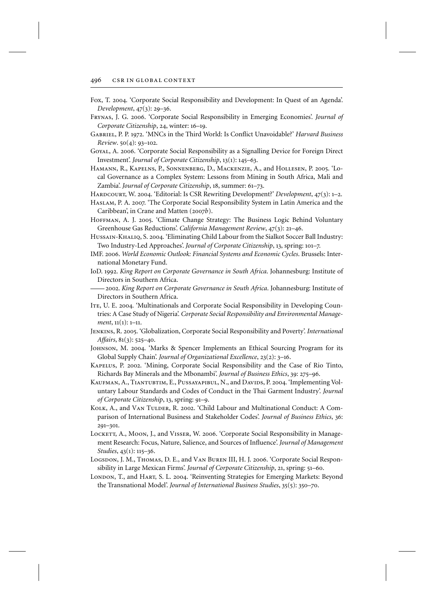- Fox, T. 2004. 'Corporate Social Responsibility and Development: In Quest of an Agenda'. *Development*, 47(3): 29–36.
- Frynas, J. G. 2006. 'Corporate Social Responsibility in Emerging Economies'. *Journal of Corporate Citizenship*, 24, winter: 16–19.
- Gabriel, P. P. 1972. 'MNCs in the Third World: Is Conflict Unavoidable?' *Harvard Business Review*. 50(4): 93–102.
- Goyal, A. 2006. 'Corporate Social Responsibility as a Signalling Device for Foreign Direct Investment'. *Journal of Corporate Citizenship*, 13(1): 145–63.
- Hamann, R., Kapelns, P., Sonnenberg, D., Mackenzie, A., and Hollesen, P. 2005. 'Local Governance as a Complex System: Lessons from Mining in South Africa, Mali and Zambia'. *Journal of Corporate Citizenship*, 18, summer: 61–73.
- Hardcourt, W. 2004. 'Editorial: Is CSR Rewriting Development?' *Development*, 47(3): 1–2.
- Haslam, P. A. 2007. 'The Corporate Social Responsibility System in Latin America and the Caribbean', in Crane and Matten (2007*b*).
- Hoffman, A. J. 2005. 'Climate Change Strategy: The Business Logic Behind Voluntary Greenhouse Gas Reductions'. *California Management Review*, 47(3): 21–46.
- Hussain-Khaliq, S. 2004. 'Eliminating Child Labour from the Sialkot Soccer Ball Industry: Two Industry-Led Approaches'. *Journal of Corporate Citizenship*, 13, spring: 101–7.
- IMF. 2006. *World Economic Outlook: Financial Systems and Economic Cycles*. Brussels: International Monetary Fund.
- IoD. 1992. *King Report on Corporate Governance in South Africa*. Johannesburg: Institute of Directors in Southern Africa.
- 2002. *King Report on Corporate Governance in South Africa*. Johannesburg: Institute of Directors in Southern Africa.
- Ite, U. E. 2004. 'Multinationals and Corporate Social Responsibility in Developing Countries: A Case Study of Nigeria'. *Corporate Social Responsibility and Environmental Management*, 11(1): 1–11.
- Jenkins, R. 2005. 'Globalization, Corporate Social Responsibility and Poverty'. *International Affairs*, 81(3): 525–40.
- Johnson, M. 2004. 'Marks & Spencer Implements an Ethical Sourcing Program for its Global Supply Chain'. *Journal of Organizational Excellence*, 23(2): 3–16.
- Kapelus, P. 2002. 'Mining, Corporate Social Responsibility and the Case of Rio Tinto, Richards Bay Minerals and the Mbonambi'. *Journal of Business Ethics*, 39: 275–96.
- KAUFMAN, A., TIANTUBTIM, E., PUSSAYAPIBUL, N., and DAVIDS, P. 2004. 'Implementing Voluntary Labour Standards and Codes of Conduct in the Thai Garment Industry'. *Journal of Corporate Citizenship*, 13, spring: 91–9.
- KOLK, A., and VAN TULDER, R. 2002. 'Child Labour and Multinational Conduct: A Comparison of International Business and Stakeholder Codes'. *Journal of Business Ethics*, 36: 291–301.
- LOCKETT, A., MOON, J., and VISSER, W. 2006. 'Corporate Social Responsibility in Management Research: Focus, Nature, Salience, and Sources of Influence'. *Journal of Management Studies*, 43(1): 115–36.
- LOGSDON, J. M., THOMAS, D. E., and VAN BUREN III, H. J. 2006. 'Corporate Social Responsibility in Large Mexican Firms'. *Journal of Corporate Citizenship*, 21, spring: 51–60.
- London, T., and HART, S. L. 2004. 'Reinventing Strategies for Emerging Markets: Beyond the Transnational Model'. *Journal of International Business Studies*, 35(5): 350–70.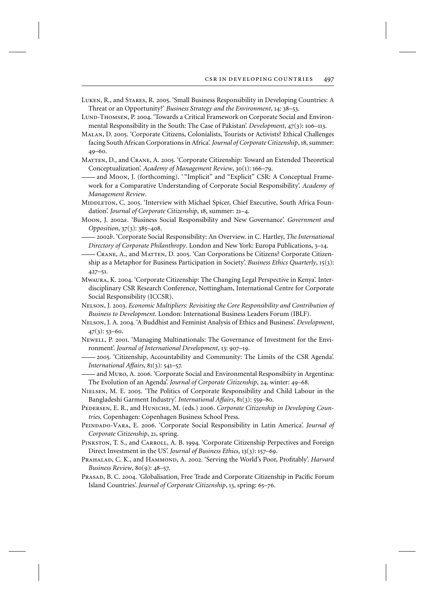Luken, R., and Stares, R. 2005. 'Small Business Responsibility in Developing Countries: A Threat or an Opportunity?' *Business Strategy and the Environment*, 14: 38–53.

- LUND-THOMSEN, P. 2004. 'Towards a Critical Framework on Corporate Social and Environmental Responsibility in the South: The Case of Pakistan'. *Development*, 47(3): 106–113.
- Malan, D. 2005. 'Corporate Citizens, Colonialists, Tourists or Activists? Ethical Challenges facing South African Corporations in Africa'. *Journal of Corporate Citizenship*, 18, summer: 49–60.
- Matten, D., and Crane, A. 2005. 'Corporate Citizenship: Toward an Extended Theoretical Conceptualization'. *Academy of Management Review*, 30(1): 166–79.
- and Moon, J. (forthcoming). "'Implicit" and "Explicit" CSR: A Conceptual Framework for a Comparative Understanding of Corporate Social Responsibility'. *Academy of Management Review*.
- MIDDLETON, C. 2005. 'Interview with Michael Spicer, Chief Executive, South Africa Foundation'. *Journal of Corporate Citizenship*, 18, summer: 21–4.
- Moon, J. 2002*a*. 'Business Social Responsibility and New Governance'. *Government and Opposition*, 37(3): 385–408.
- 2002*b*. 'Corporate Social Responsibility: An Overview. in C. Hartley, *The International Directory of Corporate Philanthropy*. London and New York: Europa Publications, 3–14.
- Crane, A., and Matten, D. 2005. 'Can Corporations be Citizens? Corporate Citizenship as a Metaphor for Business Participation in Society'. *Business Ethics Quarterly*, 15(3): 427–51.
- Mwaura, K. 2004. 'Corporate Citizenship: The Changing Legal Perspective in Kenya'. Interdisciplinary CSR Research Conference, Nottingham, International Centre for Corporate Social Responsibility (ICCSR).
- Nelson, J. 2003. *Economic Multipliers: Revisiting the Core Responsibility and Contribution of Business to Development*. London: International Business Leaders Forum (IBLF).
- Nelson, J. A. 2004. 'A Buddhist and Feminist Analysis of Ethics and Business'. *Development*,  $47(3)$ : 53–60.
- Newell, P. 2001. 'Managing Multinationals: The Governance of Investment for the Environment'. *Journal of International Development*, 13: 907–19.
- 2005. 'Citizenship, Accountability and Community: The Limits of the CSR Agenda'. *International Affairs*, 81(3): 541–57.
- and Muro, A. 2006. 'Corporate Social and Environmental Responsibiity in Argentina: The Evolution of an Agenda'. *Journal of Corporate Citizenship*, 24, winter: 49–68.
- Nielsen, M. E. 2005. 'The Politics of Corporate Responsibility and Child Labour in the Bangladeshi Garment Industry'. *International Affairs*, 81(3): 559–80.
- Pedersen, E. R., and Huniche, M. (eds.) 2006. *Corporate Citizenship in Developing Countries*. Copenhagen: Copenhagen Business School Press.
- Peindado-Vara, E. 2006. 'Corporate Social Responsibility in Latin America'. *Journal of Corporate Citizenship*, 21, spring.
- PINKSTON, T. S., and CARROLL, A. B. 1994. 'Corporate Citizenship Perpectives and Foreign Direct Investment in the US'. *Journal of Business Ethics*, 13(3): 157–69.
- PRAHALAD, C. K., and HAMMOND, A. 2002. 'Serving the World's Poor, Profitably'. *Harvard Business Review*, 80(9): 48–57.
- Prasad, B. C. 2004. 'Globalisation, Free Trade and Corporate Citizenship in Pacific Forum Island Countries'. *Journal of Corporate Citizenship*, 13, spring: 65–76.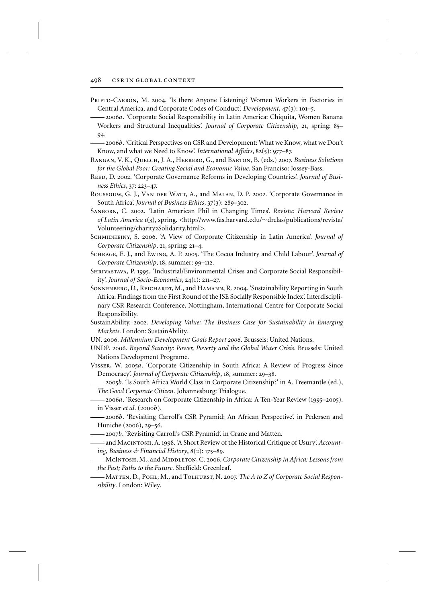- PRIETO-CARRON, M. 2004. 'Is there Anyone Listening? Women Workers in Factories in Central America, and Corporate Codes of Conduct'. *Development*, 47(3): 101–5.
- 2006*a*. 'Corporate Social Responsibility in Latin America: Chiquita, Women Banana Workers and Structural Inequalities'. *Journal of Corporate Citizenship*, 21, spring: 85– 94.
- 2006*b*. 'Critical Perspectives on CSR and Development: What we Know, what we Don't Know, and what we Need to Know'. *International Affairs*, 82(5): 977–87.
- Rangan, V. K., Quelch, J. A., Herrero, G., and Barton, B. (eds.) 2007. *Business Solutions for the Global Poor: Creating Social and Economic Value*. San Franciso: Jossey-Bass.
- REED, D. 2002. 'Corporate Governance Reforms in Developing Countries'. *Journal of Business Ethics*, 37: 223–47.
- Roussouw, G. J., Van der Watt, A., and Malan, D. P. 2002. 'Corporate Governance in South Africa'. *Journal of Business Ethics*, 37(3): 289–302.
- Sanborn, C. 2002. 'Latin American Phil in Changing Times'. *Revista: Harvard Review of Latin America* 1(3), spring. <http://www.fas.harvard.edu/∼drclas/publications/revista/ Volunteering/charity2Solidarity.html>.
- Schmidheiny, S. 2006. 'A View of Corporate Citizenship in Latin America'. *Journal of Corporate Citizenship*, 21, spring: 21–4.
- Schrage, E. J., and Ewing, A. P. 2005. 'The Cocoa Industry and Child Labour'. *Journal of Corporate Citizenship*, 18, summer: 99–112.
- Shrivastava, P. 1995. 'Industrial/Environmental Crises and Corporate Social Responsibility'. *Journal of Socio-Economics*, 24(1): 211–27.
- SONNENBERG, D., REICHARDT, M., and HAMANN, R. 2004. 'Sustainability Reporting in South Africa: Findings from the First Round of the JSE Socially Responsible Index'. Interdisciplinary CSR Research Conference, Nottingham, International Centre for Corporate Social Responsibility.
- SustainAbility. 2002. *Developing Value: The Business Case for Sustainability in Emerging Markets*. London: SustainAbility.
- UN. 2006. *Millennium Development Goals Report 2006*. Brussels: United Nations.
- UNDP. 2006. *Beyond Scarcity: Power, Poverty and the Global Water Crisis*. Brussels: United Nations Development Programe.
- Visser, W. 2005*a*. 'Corporate Citizenship in South Africa: A Review of Progress Since Democracy'. *Journal of Corporate Citizenship*, 18, summer: 29–38.
- 2005*b*. 'Is South Africa World Class in Corporate Citizenship?' in A. Freemantle (ed.), *The Good Corporate Citizen*. Johannesburg: Trialogue.
- 2006*a*. 'Research on Corporate Citizenship in Africa: A Ten-Year Review (1995–2005). in Visser *et al*. (2000*b*).
- 2006*b*. 'Revisiting Carroll's CSR Pyramid: An African Perspective'. in Pedersen and Huniche (2006), 29–56.
- 2007*b*. 'Revisiting Carroll's CSR Pyramid'. in Crane and Matten.
- and Macintosh, A. 1998. 'A Short Review of the Historical Critique of Usury'. *Accounting, Business & Financial History*, 8(2): 175–89.
- McIntosh, M., and Middleton, C. 2006. *Corporate Citizenship in Africa: Lessons from the Past; Paths to the Future*. Sheffield: Greenleaf.
- Matten, D., Pohl, M., and Tolhurst, N. 2007. *The A to Z of Corporate Social Responsibility*. London: Wiley.